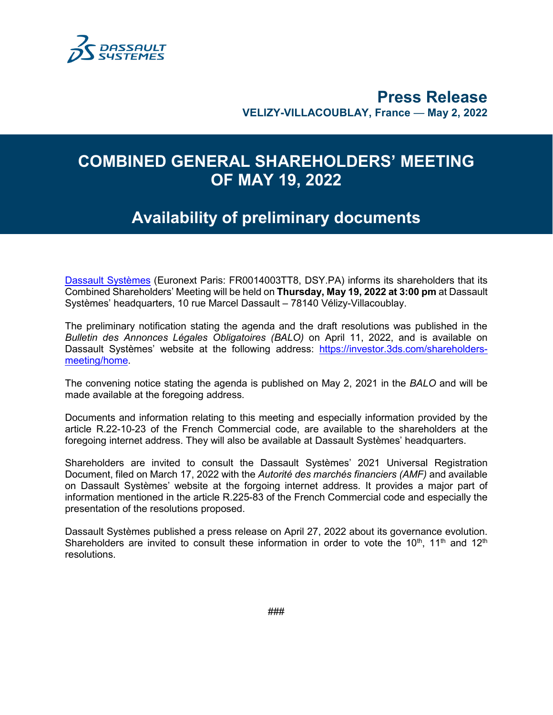

## **Press Release VELIZY-VILLACOUBLAY, France** — **May 2, 2022**

## **COMBINED GENERAL SHAREHOLDERS' MEETING OF MAY 19, 2022**

## **Availability of preliminary documents**

[Dassault Systèmes](http://www.3ds.com/) (Euronext Paris: FR0014003TT8, DSY.PA) informs its shareholders that its Combined Shareholders' Meeting will be held on **Thursday, May 19, 2022 at 3:00 pm** at Dassault Systèmes' headquarters, 10 rue Marcel Dassault – 78140 Vélizy-Villacoublay.

The preliminary notification stating the agenda and the draft resolutions was published in the *Bulletin des Annonces Légales Obligatoires (BALO)* on April 11, 2022, and is available on Dassault Systèmes' website at the following address: [https://investor.3ds.com/shareholders](https://investor.3ds.com/shareholders-meeting/home)[meeting/home.](https://investor.3ds.com/shareholders-meeting/home)

The convening notice stating the agenda is published on May 2, 2021 in the *BALO* and will be made available at the foregoing address.

Documents and information relating to this meeting and especially information provided by the article R.22-10-23 of the French Commercial code, are available to the shareholders at the foregoing internet address. They will also be available at Dassault Systèmes' headquarters.

Shareholders are invited to consult the Dassault Systèmes' 2021 Universal Registration Document, filed on March 17, 2022 with the *Autorité des marchés financiers (AMF)* and available on Dassault Systèmes' website at the forgoing internet address. It provides a major part of information mentioned in the article R.225-83 of the French Commercial code and especially the presentation of the resolutions proposed.

Dassault Systèmes published a press release on April 27, 2022 about its governance evolution. Shareholders are invited to consult these information in order to vote the  $10<sup>th</sup>$ ,  $11<sup>th</sup>$  and  $12<sup>th</sup>$ resolutions.